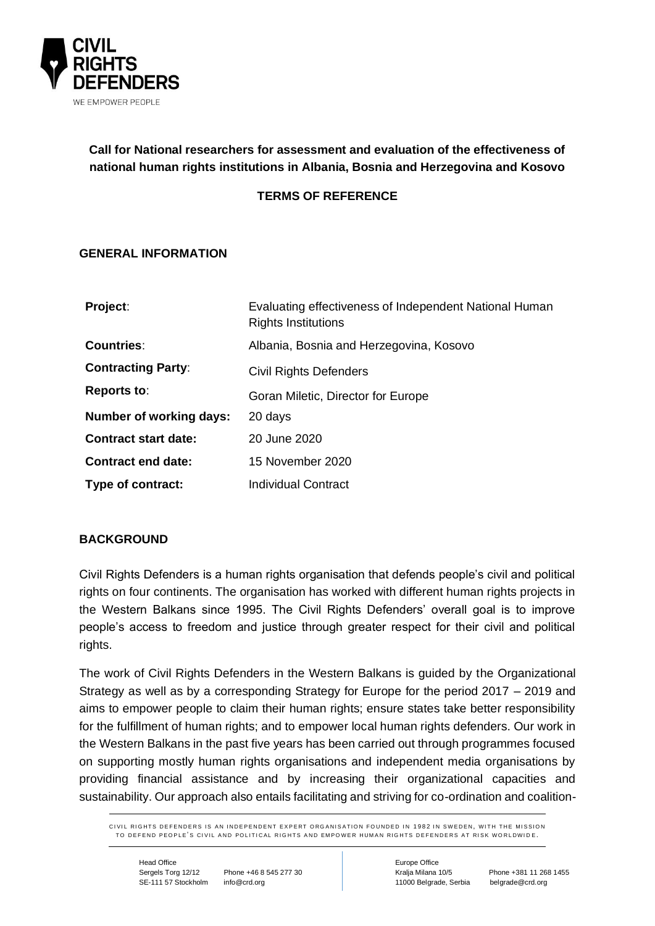

# **Call for National researchers for assessment and evaluation of the effectiveness of national human rights institutions in Albania, Bosnia and Herzegovina and Kosovo**

## **TERMS OF REFERENCE**

## **GENERAL INFORMATION**

| Project:                    | Evaluating effectiveness of Independent National Human<br><b>Rights Institutions</b> |
|-----------------------------|--------------------------------------------------------------------------------------|
| <b>Countries:</b>           | Albania, Bosnia and Herzegovina, Kosovo                                              |
| <b>Contracting Party:</b>   | <b>Civil Rights Defenders</b>                                                        |
| <b>Reports to:</b>          | Goran Miletic, Director for Europe                                                   |
| Number of working days:     | 20 days                                                                              |
| <b>Contract start date:</b> | 20 June 2020                                                                         |
| <b>Contract end date:</b>   | 15 November 2020                                                                     |
| Type of contract:           | <b>Individual Contract</b>                                                           |

## **BACKGROUND**

Civil Rights Defenders is a human rights organisation that defends people's civil and political rights on four continents. The organisation has worked with different human rights projects in the Western Balkans since 1995. The Civil Rights Defenders' overall goal is to improve people's access to freedom and justice through greater respect for their civil and political rights.

The work of Civil Rights Defenders in the Western Balkans is guided by the Organizational Strategy as well as by a corresponding Strategy for Europe for the period 2017 – 2019 and aims to empower people to claim their human rights; ensure states take better responsibility for the fulfillment of human rights; and to empower local human rights defenders. Our work in the Western Balkans in the past five years has been carried out through programmes focused on supporting mostly human rights organisations and independent media organisations by providing financial assistance and by increasing their organizational capacities and sustainability. Our approach also entails facilitating and striving for co-ordination and coalition-

CIVIL RIGHTS DEFENDERS IS AN INDEPENDENT EXPERT ORGANISATION FOUNDED IN 1982 IN SWEDEN WITH THE MISSION TO DEFEND PEOPLE'S CIVIL AND POLITICAL RIGHTS AND EMPOWER HIIMAN RIGHTS DEFENDERS AT RISK WORLDWIDE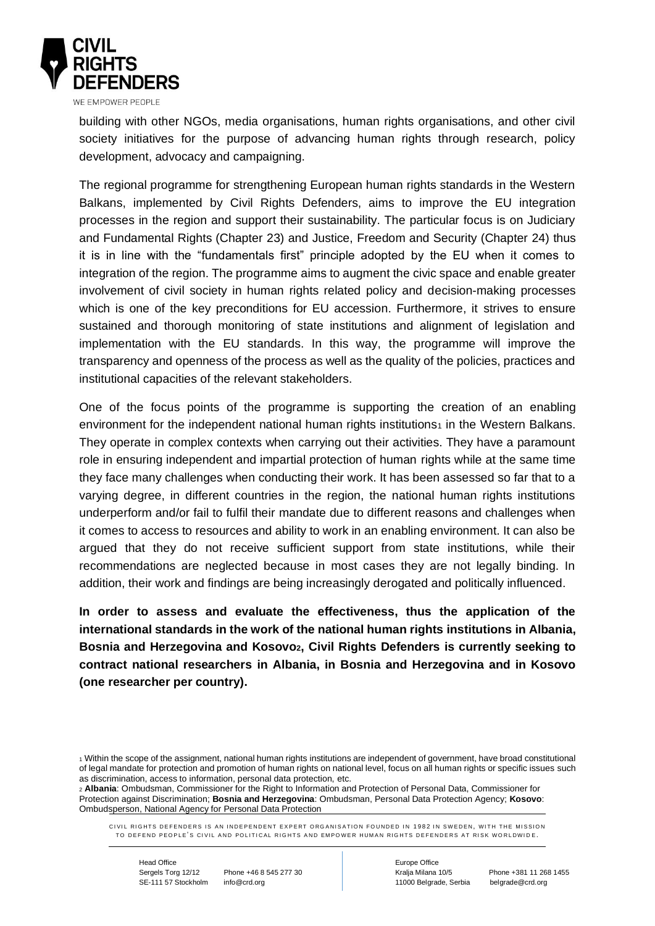

building with other NGOs, media organisations, human rights organisations, and other civil society initiatives for the purpose of advancing human rights through research, policy

development, advocacy and campaigning. The regional programme for strengthening European human rights standards in the Western Balkans, implemented by Civil Rights Defenders, aims to improve the EU integration processes in the region and support their sustainability. The particular focus is on Judiciary and Fundamental Rights (Chapter 23) and Justice, Freedom and Security (Chapter 24) thus it is in line with the "fundamentals first" principle adopted by the EU when it comes to integration of the region. The programme aims to augment the civic space and enable greater

involvement of civil society in human rights related policy and decision-making processes which is one of the key preconditions for EU accession. Furthermore, it strives to ensure sustained and thorough monitoring of state institutions and alignment of legislation and implementation with the EU standards. In this way, the programme will improve the transparency and openness of the process as well as the quality of the policies, practices and institutional capacities of the relevant stakeholders.

One of the focus points of the programme is supporting the creation of an enabling environment for the independent national human rights institutions<sup>1</sup> in the Western Balkans. They operate in complex contexts when carrying out their activities. They have a paramount role in ensuring independent and impartial protection of human rights while at the same time they face many challenges when conducting their work. It has been assessed so far that to a varying degree, in different countries in the region, the national human rights institutions underperform and/or fail to fulfil their mandate due to different reasons and challenges when it comes to access to resources and ability to work in an enabling environment. It can also be argued that they do not receive sufficient support from state institutions, while their recommendations are neglected because in most cases they are not legally binding. In addition, their work and findings are being increasingly derogated and politically influenced.

**In order to assess and evaluate the effectiveness, thus the application of the international standards in the work of the national human rights institutions in Albania, Bosnia and Herzegovina and Kosovo2, Civil Rights Defenders is currently seeking to contract national researchers in Albania, in Bosnia and Herzegovina and in Kosovo (one researcher per country).** 

Sergels Torg 12/12 Phone +46 8 545 277 30 Kralja Milana 10/5 Phone +381 11 268 1455 SE-111 57 Stockholm info@crd.org 11000 Belgrade, Serbia belgrade@crd.org

<sup>1</sup> Within the scope of the assignment, national human rights institutions are independent of government, have broad constitutional of legal mandate for protection and promotion of human rights on national level, focus on all human rights or specific issues such as discrimination, access to information, personal data protection, etc.

<sup>2</sup> **Albania**: Ombudsman, Commissioner for the Right to Information and Protection of Personal Data, Commissioner for Protection against Discrimination; **Bosnia and Herzegovina**: Ombudsman, Personal Data Protection Agency; **Kosovo**: Ombudsperson, National Agency for Personal Data Protection

CIVIL RIGHTS DEFENDERS IS AN INDEPENDENT EXPERT ORGANISATION FOUNDED IN 1982 IN SWEDEN. WITH THE MISSION TO DEFEND PEOPLE'S CIVIL AND POLITICAL RIGHTS AND EMPOWER HIIMAN RIGHTS DEFENDERS AT RISK WORLDWIDE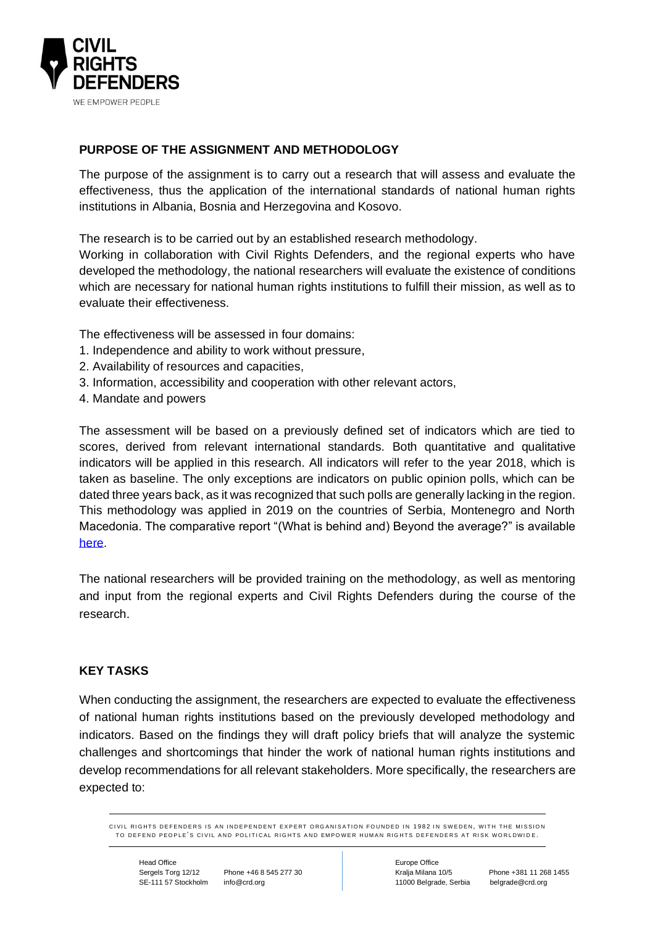

# **PURPOSE OF THE ASSIGNMENT AND METHODOLOGY**

The purpose of the assignment is to carry out a research that will assess and evaluate the effectiveness, thus the application of the international standards of national human rights institutions in Albania, Bosnia and Herzegovina and Kosovo.

The research is to be carried out by an established research methodology.

Working in collaboration with Civil Rights Defenders, and the regional experts who have developed the methodology, the national researchers will evaluate the existence of conditions which are necessary for national human rights institutions to fulfill their mission, as well as to evaluate their effectiveness.

The effectiveness will be assessed in four domains:

- 1. Independence and ability to work without pressure,
- 2. Availability of resources and capacities,
- 3. Information, accessibility and cooperation with other relevant actors,
- 4. Mandate and powers

The assessment will be based on a previously defined set of indicators which are tied to scores, derived from relevant international standards. Both quantitative and qualitative indicators will be applied in this research. All indicators will refer to the year 2018, which is taken as baseline. The only exceptions are indicators on public opinion polls, which can be dated three years back, as it was recognized that such polls are generally lacking in the region. This methodology was applied in 2019 on the countries of Serbia, Montenegro and North Macedonia. The comparative report "(What is behind and) Beyond the average?" is available [here.](https://crd.org/wp-content/uploads/2019/12/Effectiveness-of-National-Human-Rights-Institutions-in-the-Western-Balkans.pdf)

The national researchers will be provided training on the methodology, as well as mentoring and input from the regional experts and Civil Rights Defenders during the course of the research.

## **KEY TASKS**

When conducting the assignment, the researchers are expected to evaluate the effectiveness of national human rights institutions based on the previously developed methodology and indicators. Based on the findings they will draft policy briefs that will analyze the systemic challenges and shortcomings that hinder the work of national human rights institutions and develop recommendations for all relevant stakeholders. More specifically, the researchers are expected to:

CIVIL RIGHTS DEFENDERS IS AN INDEPENDENT EXPERT ORGANISATION FOUNDED IN 1982 IN SWEDEN WITH THE MISSION TO DEFEND PEOPLE'S CIVIL AND POLITICAL RIGHTS AND EMPOWER HIIMAN RIGHTS DEFENDERS AT RISK WORLDWIDE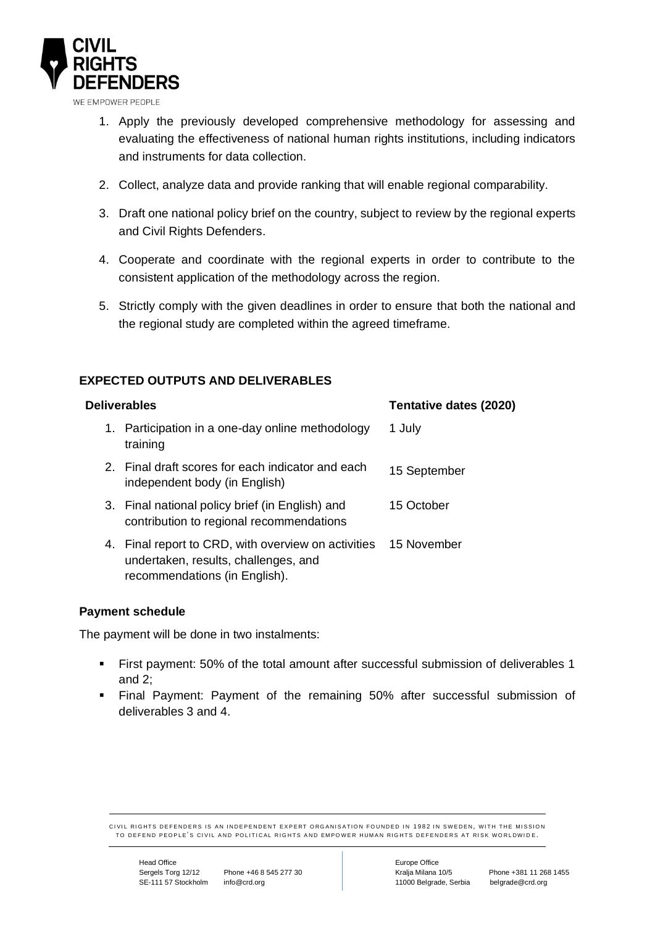

WE EMPOWER PEOPLE

- 1. Apply the previously developed comprehensive methodology for assessing and evaluating the effectiveness of national human rights institutions, including indicators and instruments for data collection.
- 2. Collect, analyze data and provide ranking that will enable regional comparability.
- 3. Draft one national policy brief on the country, subject to review by the regional experts and Civil Rights Defenders.
- 4. Cooperate and coordinate with the regional experts in order to contribute to the consistent application of the methodology across the region.
- 5. Strictly comply with the given deadlines in order to ensure that both the national and the regional study are completed within the agreed timeframe.

## **EXPECTED OUTPUTS AND DELIVERABLES**

| <b>Deliverables</b> |                                                                                                                              | Tentative dates (2020) |
|---------------------|------------------------------------------------------------------------------------------------------------------------------|------------------------|
|                     | 1. Participation in a one-day online methodology<br>training                                                                 | 1 July                 |
|                     | 2. Final draft scores for each indicator and each<br>independent body (in English)                                           | 15 September           |
|                     | 3. Final national policy brief (in English) and<br>contribution to regional recommendations                                  | 15 October             |
|                     | 4. Final report to CRD, with overview on activities<br>undertaken, results, challenges, and<br>recommendations (in English). | 15 November            |

#### **Payment schedule**

The payment will be done in two instalments:

- First payment: 50% of the total amount after successful submission of deliverables 1 and 2;
- Final Payment: Payment of the remaining 50% after successful submission of deliverables 3 and 4.

CIVIL RIGHTS DEFENDERS IS AN INDEPENDENT EXPERT ORGANISATION FOUNDED IN 1982 IN SWEDEN. WITH THE MISSION TO DEFEND PEOPLE'S CIVIL AND POLITICAL RIGHTS AND EMPOWER HUMAN RIGHTS DEFENDERS AT RISK WORLDWIDE.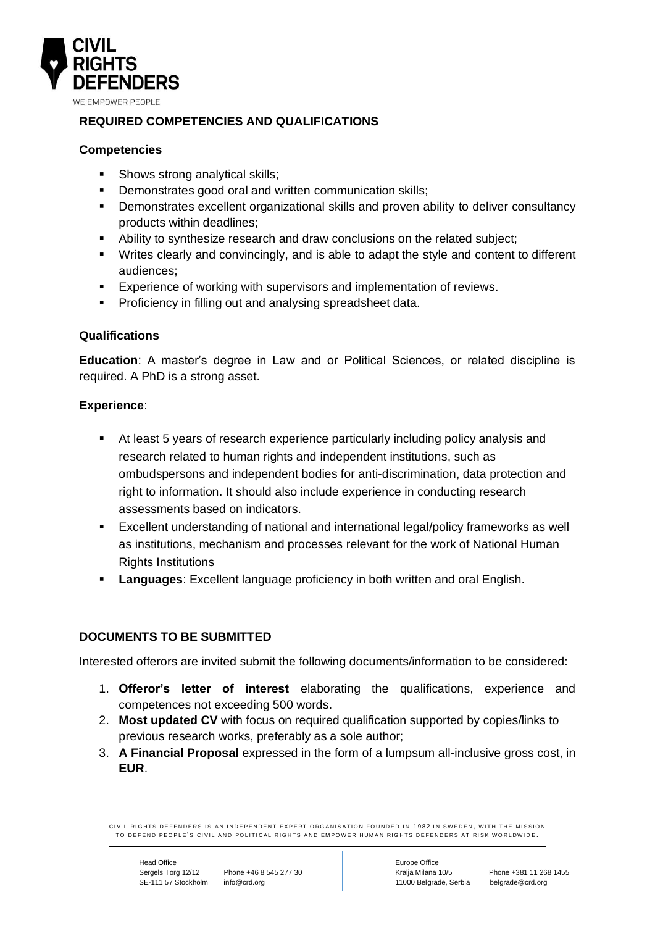

# **REQUIRED COMPETENCIES AND QUALIFICATIONS**

## **Competencies**

- Shows strong analytical skills;
- Demonstrates good oral and written communication skills:
- **•** Demonstrates excellent organizational skills and proven ability to deliver consultancy products within deadlines;
- Ability to synthesize research and draw conclusions on the related subject;
- Writes clearly and convincingly, and is able to adapt the style and content to different audiences;
- Experience of working with supervisors and implementation of reviews.
- **•** Proficiency in filling out and analysing spreadsheet data.

## **Qualifications**

**Education**: A master's degree in Law and or Political Sciences, or related discipline is required. A PhD is a strong asset.

## **Experience**:

- At least 5 years of research experience particularly including policy analysis and research related to human rights and independent institutions, such as ombudspersons and independent bodies for anti-discrimination, data protection and right to information. It should also include experience in conducting research assessments based on indicators.
- Excellent understanding of national and international legal/policy frameworks as well as institutions, mechanism and processes relevant for the work of National Human Rights Institutions
- **Languages**: Excellent language proficiency in both written and oral English.

#### **DOCUMENTS TO BE SUBMITTED**

Interested offerors are invited submit the following documents/information to be considered:

- 1. **Offeror's letter of interest** elaborating the qualifications, experience and competences not exceeding 500 words.
- 2. **Most updated CV** with focus on required qualification supported by copies/links to previous research works, preferably as a sole author;
- 3. **A Financial Proposal** expressed in the form of a lumpsum all-inclusive gross cost, in **EUR**.

CIVIL RIGHTS DEFENDERS IS AN INDEPENDENT EXPERT ORGANISATION FOUNDED IN 1982 IN SWEDEN. WITH THE MISSION TO DEFEND PEOPLE'S CIVIL AND POLITICAL RIGHTS AND EMPOWER HIIMAN RIGHTS DEFENDERS AT RISK WORLDWIDE